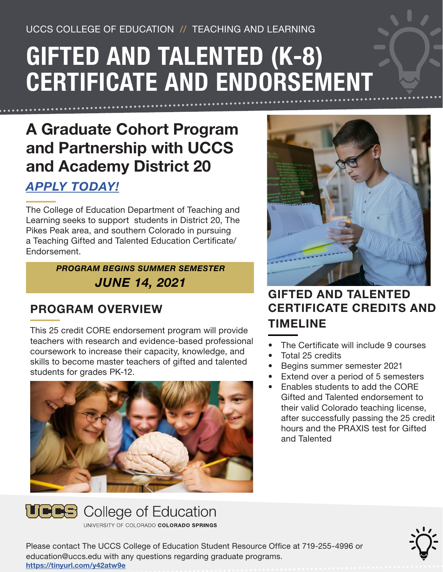UCCS COLLEGE OF EDUCATION // TEACHING AND LEARNING

# GIFTED AND TALENTED (K-8) CERTIFICATE AND ENDORSEMENT

## A Graduate Cohort Program and Partnership with UCCS and Academy District 20

#### *[APPLY TODAY!](https://www.uccs.edu/admissionsenrollment/apply-uccs-today)*

The College of Education Department of Teaching and Learning seeks to support students in District 20, The Pikes Peak area, and southern Colorado in pursuing a Teaching Gifted and Talented Education Certificate/ Endorsement.

> *PROGRAM BEGINS SUMMER SEMESTER JUNE 14, 2021*

### PROGRAM OVERVIEW

This 25 credit CORE endorsement program will provide teachers with research and evidence-based professional coursework to increase their capacity, knowledge, and skills to become master teachers of gifted and talented students for grades PK-12.





UNIVERSITY OF COLORADO COLORADO SPRINGS



#### GIFTED AND TALENTED CERTIFICATE CREDITS AND TIMELINE

- The Certificate will include 9 courses
- Total 25 credits
- Begins summer semester 2021
- Extend over a period of 5 semesters
- Enables students to add the CORE Gifted and Talented endorsement to their valid Colorado teaching license, after successfully passing the 25 credit hours and the PRAXIS test for Gifted and Talented

Please contact The UCCS College of Education Student Resource Office at 719-255-4996 or education@uccs.edu with any questions regarding graduate programs. https://tinyurl.com/y42atw9e